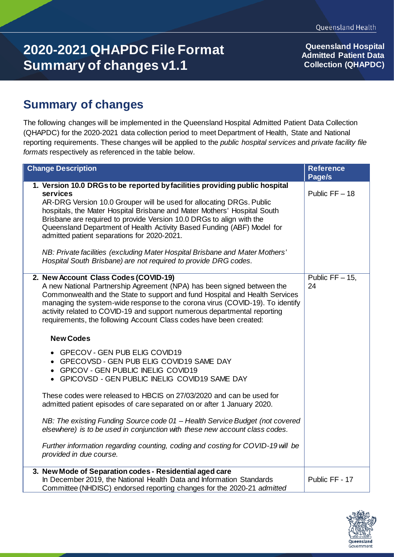## **2020-2021 QHAPDC File Format Summary of changes v1.1**

**Queensland Hospital Admitted Patient Data Collection (QHAPDC)**

## **Summary of changes**

The following changes will be implemented in the Queensland Hospital Admitted Patient Data Collection (QHAPDC) for the 2020-2021 data collection period to meet Department of Health, State and National reporting requirements. These changes will be applied to the *public hospital services* and *private facility file formats* respectively as referenced in the table below.

| <b>Change Description</b>                                                                                                                                                                                                                                                                                                                                                                                                                                                                                                                                                                       | <b>Reference</b><br>Page/s |
|-------------------------------------------------------------------------------------------------------------------------------------------------------------------------------------------------------------------------------------------------------------------------------------------------------------------------------------------------------------------------------------------------------------------------------------------------------------------------------------------------------------------------------------------------------------------------------------------------|----------------------------|
| 1. Version 10.0 DRGs to be reported by facilities providing public hospital<br>services<br>AR-DRG Version 10.0 Grouper will be used for allocating DRGs. Public<br>hospitals, the Mater Hospital Brisbane and Mater Mothers' Hospital South<br>Brisbane are required to provide Version 10.0 DRGs to align with the<br>Queensland Department of Health Activity Based Funding (ABF) Model for<br>admitted patient separations for 2020-2021.<br>NB: Private facilities (excluding Mater Hospital Brisbane and Mater Mothers'<br>Hospital South Brisbane) are not required to provide DRG codes. | Public $FF - 18$           |
| 2. New Account Class Codes (COVID-19)<br>A new National Partnership Agreement (NPA) has been signed between the<br>Commonwealth and the State to support and fund Hospital and Health Services<br>managing the system-wide response to the corona virus (COVID-19). To identify<br>activity related to COVID-19 and support numerous departmental reporting<br>requirements, the following Account Class codes have been created:                                                                                                                                                               | Public $FF - 15$ ,<br>24   |
| <b>New Codes</b>                                                                                                                                                                                                                                                                                                                                                                                                                                                                                                                                                                                |                            |
| • GPECOV - GEN PUB ELIG COVID19<br>• GPECOVSD - GEN PUB ELIG COVID19 SAME DAY<br><b>GPICOV - GEN PUBLIC INELIG COVID19</b><br>• GPICOVSD - GEN PUBLIC INELIG COVID19 SAME DAY                                                                                                                                                                                                                                                                                                                                                                                                                   |                            |
| These codes were released to HBCIS on 27/03/2020 and can be used for<br>admitted patient episodes of care separated on or after 1 January 2020.                                                                                                                                                                                                                                                                                                                                                                                                                                                 |                            |
| NB: The existing Funding Source code 01 - Health Service Budget (not covered<br>elsewhere) is to be used in conjunction with these new account class codes.                                                                                                                                                                                                                                                                                                                                                                                                                                     |                            |
| Further information regarding counting, coding and costing for COVID-19 will be<br>provided in due course.                                                                                                                                                                                                                                                                                                                                                                                                                                                                                      |                            |
| 3. New Mode of Separation codes - Residential aged care<br>In December 2019, the National Health Data and Information Standards<br>Committee (NHDISC) endorsed reporting changes for the 2020-21 admitted                                                                                                                                                                                                                                                                                                                                                                                       | Public FF - 17             |

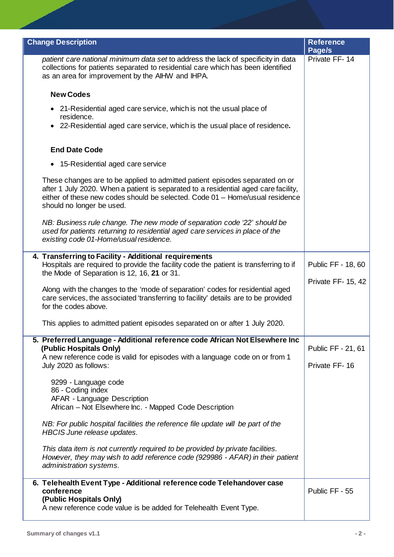| <b>Change Description</b>                                                                                                                                                                                                                                                        | <b>Reference</b><br>Page/s          |
|----------------------------------------------------------------------------------------------------------------------------------------------------------------------------------------------------------------------------------------------------------------------------------|-------------------------------------|
| patient care national minimum data set to address the lack of specificity in data<br>collections for patients separated to residential care which has been identified<br>as an area for improvement by the AIHW and IHPA.                                                        | Private FF-14                       |
| <b>New Codes</b>                                                                                                                                                                                                                                                                 |                                     |
| • 21-Residential aged care service, which is not the usual place of<br>residence.                                                                                                                                                                                                |                                     |
| 22-Residential aged care service, which is the usual place of residence.<br>$\bullet$                                                                                                                                                                                            |                                     |
| <b>End Date Code</b>                                                                                                                                                                                                                                                             |                                     |
| • 15-Residential aged care service                                                                                                                                                                                                                                               |                                     |
| These changes are to be applied to admitted patient episodes separated on or<br>after 1 July 2020. When a patient is separated to a residential aged care facility,<br>either of these new codes should be selected. Code 01 - Home/usual residence<br>should no longer be used. |                                     |
| NB: Business rule change. The new mode of separation code '22' should be<br>used for patients returning to residential aged care services in place of the<br>existing code 01-Home/usual residence.                                                                              |                                     |
| 4. Transferring to Facility - Additional requirements<br>Hospitals are required to provide the facility code the patient is transferring to if<br>the Mode of Separation is 12, 16, 21 or 31.                                                                                    | Public FF - 18, 60                  |
| Along with the changes to the 'mode of separation' codes for residential aged<br>care services, the associated 'transferring to facility' details are to be provided<br>for the codes above.                                                                                     | Private FF- 15, 42                  |
| This applies to admitted patient episodes separated on or after 1 July 2020.                                                                                                                                                                                                     |                                     |
| 5. Preferred Language - Additional reference code African Not Elsewhere Inc<br>(Public Hospitals Only)<br>A new reference code is valid for episodes with a language code on or from 1<br>July 2020 as follows:                                                                  | Public FF - 21, 61<br>Private FF-16 |
| 9299 - Language code<br>86 - Coding index<br>AFAR - Language Description<br>African - Not Elsewhere Inc. - Mapped Code Description                                                                                                                                               |                                     |
| NB: For public hospital facilities the reference file update will be part of the<br>HBCIS June release updates.                                                                                                                                                                  |                                     |
| This data item is not currently required to be provided by private facilities.<br>However, they may wish to add reference code (929986 - AFAR) in their patient<br>administration systems.                                                                                       |                                     |
| 6. Telehealth Event Type - Additional reference code Telehandover case<br>conference<br>(Public Hospitals Only)<br>A new reference code value is be added for Telehealth Event Type.                                                                                             | Public FF - 55                      |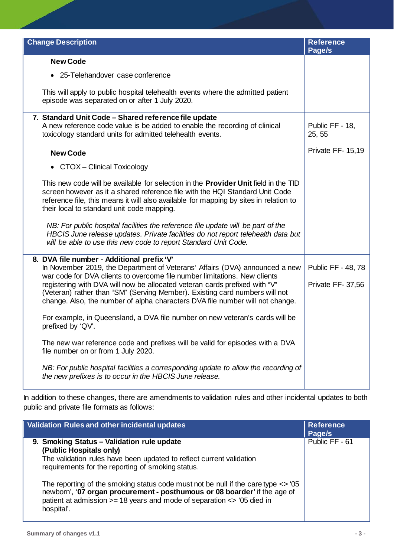| <b>Change Description</b>                                                                                                                                                                                                                                                                                                                                                                              | <b>Reference</b><br>Page/s |
|--------------------------------------------------------------------------------------------------------------------------------------------------------------------------------------------------------------------------------------------------------------------------------------------------------------------------------------------------------------------------------------------------------|----------------------------|
| <b>New Code</b>                                                                                                                                                                                                                                                                                                                                                                                        |                            |
| • 25-Telehandover case conference                                                                                                                                                                                                                                                                                                                                                                      |                            |
| This will apply to public hospital telehealth events where the admitted patient<br>episode was separated on or after 1 July 2020.                                                                                                                                                                                                                                                                      |                            |
| 7. Standard Unit Code - Shared reference file update<br>A new reference code value is be added to enable the recording of clinical<br>toxicology standard units for admitted telehealth events.                                                                                                                                                                                                        | Public FF - 18,<br>25, 55  |
| <b>New Code</b>                                                                                                                                                                                                                                                                                                                                                                                        | Private FF-15,19           |
| • CTOX – Clinical Toxicology                                                                                                                                                                                                                                                                                                                                                                           |                            |
| This new code will be available for selection in the <b>Provider Unit</b> field in the TID<br>screen however as it a shared reference file with the HQI Standard Unit Code<br>reference file, this means it will also available for mapping by sites in relation to<br>their local to standard unit code mapping.                                                                                      |                            |
| NB: For public hospital facilities the reference file update will be part of the<br>HBCIS June release updates. Private facilities do not report telehealth data but<br>will be able to use this new code to report Standard Unit Code.                                                                                                                                                                |                            |
| 8. DVA file number - Additional prefix 'V'                                                                                                                                                                                                                                                                                                                                                             | Public FF - 48, 78         |
| In November 2019, the Department of Veterans' Affairs (DVA) announced a new<br>war code for DVA clients to overcome file number limitations. New clients<br>registering with DVA will now be allocated veteran cards prefixed with "V"<br>(Veteran) rather than "SM" (Serving Member). Existing card numbers will not<br>change. Also, the number of alpha characters DVA file number will not change. |                            |
|                                                                                                                                                                                                                                                                                                                                                                                                        | Private FF-37,56           |
| For example, in Queensland, a DVA file number on new veteran's cards will be<br>prefixed by 'QV'.                                                                                                                                                                                                                                                                                                      |                            |
| The new war reference code and prefixes will be valid for episodes with a DVA<br>file number on or from 1 July 2020.                                                                                                                                                                                                                                                                                   |                            |
| NB: For public hospital facilities a corresponding update to allow the recording of<br>the new prefixes is to occur in the HBCIS June release.                                                                                                                                                                                                                                                         |                            |

In addition to these changes, there are amendments to validation rules and other incidental updates to both public and private file formats as follows:

| Validation Rules and other incidental updates                                                                                                                                                                                                                                                                                                                                                                                                                                 | <b>Reference</b><br>Page/s |
|-------------------------------------------------------------------------------------------------------------------------------------------------------------------------------------------------------------------------------------------------------------------------------------------------------------------------------------------------------------------------------------------------------------------------------------------------------------------------------|----------------------------|
| 9. Smoking Status - Validation rule update<br>(Public Hospitals only)<br>The validation rules have been updated to reflect current validation<br>requirements for the reporting of smoking status.<br>The reporting of the smoking status code must not be null if the care type $\langle \rangle$ to 15<br>newborn', '07 organ procurement - posthumous or 08 boarder' if the age of<br>patient at admission >= 18 years and mode of separation <> '05 died in<br>hospital'. | Public FF - 61             |